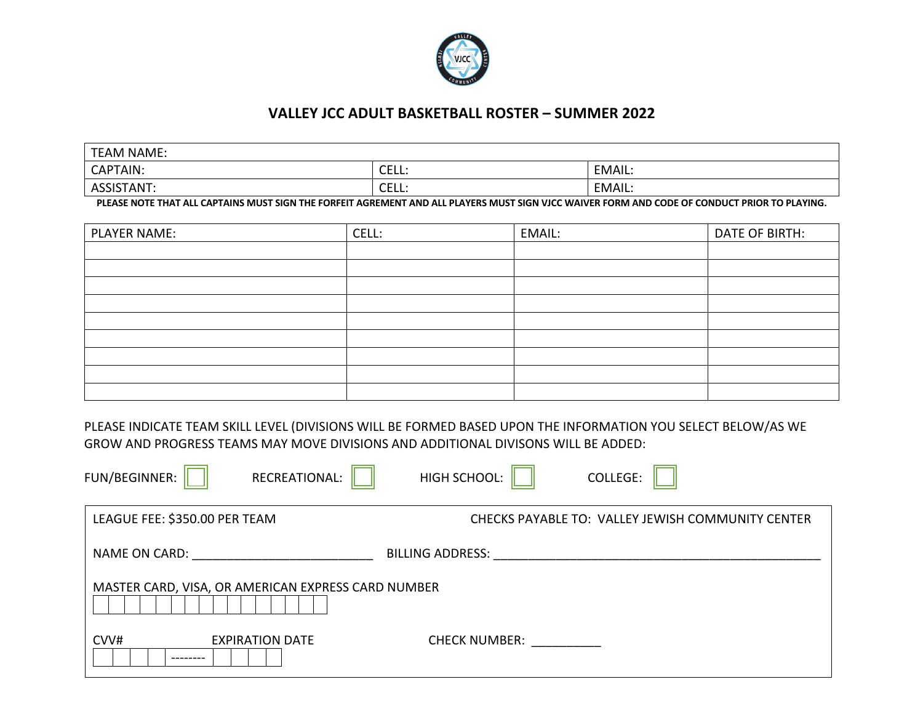

## **VALLEY JCC ADULT BASKETBALL ROSTER – SUMMER 2022**

| <b>TEAM NAME:</b> |                                     |        |
|-------------------|-------------------------------------|--------|
| CAPTAIN:          | $\sim$ $\sim$ $\sim$<br>. .<br>◡└└└ | EMAIL: |
| ASSISTANT:        | $\sim$ $\sim$<br>ы<br>◡└└└          | EMAIL: |

**PLEASE NOTE THAT ALL CAPTAINS MUST SIGN THE FORFEIT AGREMENT AND ALL PLAYERS MUST SIGN VJCC WAIVER FORM AND CODE OF CONDUCT PRIOR TO PLAYING.**

| <b>PLAYER NAME:</b> | CELL: | EMAIL: | DATE OF BIRTH: |
|---------------------|-------|--------|----------------|
|                     |       |        |                |
|                     |       |        |                |
|                     |       |        |                |
|                     |       |        |                |
|                     |       |        |                |
|                     |       |        |                |
|                     |       |        |                |
|                     |       |        |                |
|                     |       |        |                |

PLEASE INDICATE TEAM SKILL LEVEL (DIVISIONS WILL BE FORMED BASED UPON THE INFORMATION YOU SELECT BELOW/AS WE GROW AND PROGRESS TEAMS MAY MOVE DIVISIONS AND ADDITIONAL DIVISONS WILL BE ADDED:

| FUN/BEGINNER:<br>RECREATIONAL:                     | HIGH SCHOOL:<br><b>COLLEGE:</b>                   |
|----------------------------------------------------|---------------------------------------------------|
| LEAGUE FEE: \$350.00 PER TEAM                      | CHECKS PAYABLE TO: VALLEY JEWISH COMMUNITY CENTER |
| <b>NAME ON CARD:</b>                               | <b>BILLING ADDRESS:</b>                           |
| MASTER CARD, VISA, OR AMERICAN EXPRESS CARD NUMBER |                                                   |
| CVV#<br><b>EXPIRATION DATE</b>                     | <b>CHECK NUMBER:</b>                              |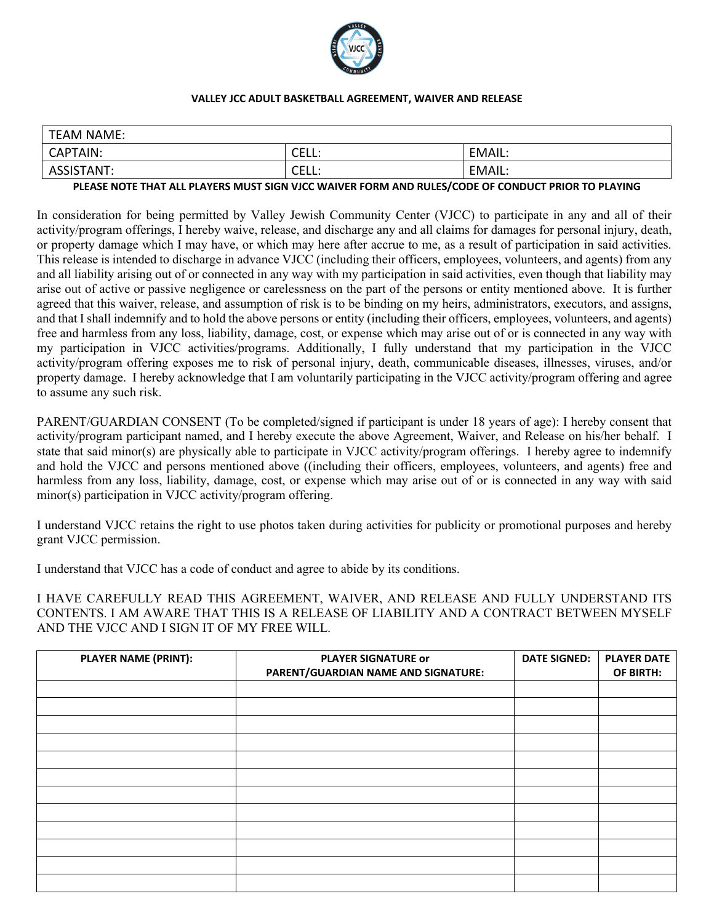

#### **VALLEY JCC ADULT BASKETBALL AGREEMENT, WAIVER AND RELEASE**

| <b>TEAM NAME:</b> |                     |        |
|-------------------|---------------------|--------|
| CAPTAIN:          | ∩⊏เ<br>◡––––        | EMAIL. |
| ASSISTANT:        | <b>CEI</b><br>◡∟∟∟. | EMAIL. |

#### **PLEASE NOTE THAT ALL PLAYERS MUST SIGN VJCC WAIVER FORM AND RULES/CODE OF CONDUCT PRIOR TO PLAYING**

In consideration for being permitted by Valley Jewish Community Center (VJCC) to participate in any and all of their activity/program offerings, I hereby waive, release, and discharge any and all claims for damages for personal injury, death, or property damage which I may have, or which may here after accrue to me, as a result of participation in said activities. This release is intended to discharge in advance VJCC (including their officers, employees, volunteers, and agents) from any and all liability arising out of or connected in any way with my participation in said activities, even though that liability may arise out of active or passive negligence or carelessness on the part of the persons or entity mentioned above. It is further agreed that this waiver, release, and assumption of risk is to be binding on my heirs, administrators, executors, and assigns, and that I shall indemnify and to hold the above persons or entity (including their officers, employees, volunteers, and agents) free and harmless from any loss, liability, damage, cost, or expense which may arise out of or is connected in any way with my participation in VJCC activities/programs. Additionally, I fully understand that my participation in the VJCC activity/program offering exposes me to risk of personal injury, death, communicable diseases, illnesses, viruses, and/or property damage. I hereby acknowledge that I am voluntarily participating in the VJCC activity/program offering and agree to assume any such risk.

PARENT/GUARDIAN CONSENT (To be completed/signed if participant is under 18 years of age): I hereby consent that activity/program participant named, and I hereby execute the above Agreement, Waiver, and Release on his/her behalf. I state that said minor(s) are physically able to participate in VJCC activity/program offerings. I hereby agree to indemnify and hold the VJCC and persons mentioned above ((including their officers, employees, volunteers, and agents) free and harmless from any loss, liability, damage, cost, or expense which may arise out of or is connected in any way with said minor(s) participation in VJCC activity/program offering.

I understand VJCC retains the right to use photos taken during activities for publicity or promotional purposes and hereby grant VJCC permission.

I understand that VJCC has a code of conduct and agree to abide by its conditions.

I HAVE CAREFULLY READ THIS AGREEMENT, WAIVER, AND RELEASE AND FULLY UNDERSTAND ITS CONTENTS. I AM AWARE THAT THIS IS A RELEASE OF LIABILITY AND A CONTRACT BETWEEN MYSELF AND THE VJCC AND I SIGN IT OF MY FREE WILL.

| <b>PLAYER NAME (PRINT):</b> | <b>PLAYER SIGNATURE or</b>          | <b>DATE SIGNED:</b> | <b>PLAYER DATE</b> |
|-----------------------------|-------------------------------------|---------------------|--------------------|
|                             | PARENT/GUARDIAN NAME AND SIGNATURE: |                     | OF BIRTH:          |
|                             |                                     |                     |                    |
|                             |                                     |                     |                    |
|                             |                                     |                     |                    |
|                             |                                     |                     |                    |
|                             |                                     |                     |                    |
|                             |                                     |                     |                    |
|                             |                                     |                     |                    |
|                             |                                     |                     |                    |
|                             |                                     |                     |                    |
|                             |                                     |                     |                    |
|                             |                                     |                     |                    |
|                             |                                     |                     |                    |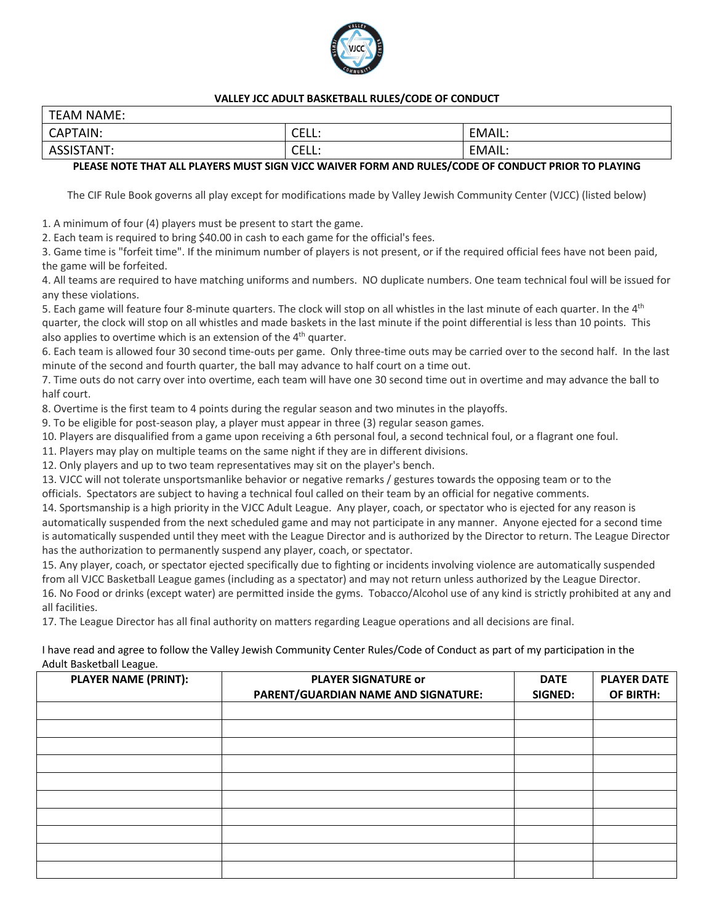

#### **VALLEY JCC ADULT BASKETBALL RULES/CODE OF CONDUCT**

| <b>TEAM NAME:</b>              |              |        |
|--------------------------------|--------------|--------|
| CAPTAIN:                       | CEL.<br>こににに | EMAIL: |
| <b>ISTANT:</b><br><b>ASSIS</b> | CEL.<br>こににに | EMAIL: |

### **PLEASE NOTE THAT ALL PLAYERS MUST SIGN VJCC WAIVER FORM AND RULES/CODE OF CONDUCT PRIOR TO PLAYING**

The CIF Rule Book governs all play except for modifications made by Valley Jewish Community Center (VJCC) (listed below)

1. A minimum of four (4) players must be present to start the game.

2. Each team is required to bring \$40.00 in cash to each game for the official's fees.

3. Game time is "forfeit time". If the minimum number of players is not present, or if the required official fees have not been paid, the game will be forfeited.

4. All teams are required to have matching uniforms and numbers. NO duplicate numbers. One team technical foul will be issued for any these violations.

5. Each game will feature four 8-minute quarters. The clock will stop on all whistles in the last minute of each quarter. In the 4<sup>th</sup> quarter, the clock will stop on all whistles and made baskets in the last minute if the point differential is less than 10 points. This also applies to overtime which is an extension of the  $4<sup>th</sup>$  quarter.

6. Each team is allowed four 30 second time-outs per game. Only three-time outs may be carried over to the second half. In the last minute of the second and fourth quarter, the ball may advance to half court on a time out.

7. Time outs do not carry over into overtime, each team will have one 30 second time out in overtime and may advance the ball to half court.

8. Overtime is the first team to 4 points during the regular season and two minutes in the playoffs.

9. To be eligible for post-season play, a player must appear in three (3) regular season games.

10. Players are disqualified from a game upon receiving a 6th personal foul, a second technical foul, or a flagrant one foul.

11. Players may play on multiple teams on the same night if they are in different divisions.

12. Only players and up to two team representatives may sit on the player's bench.

13. VJCC will not tolerate unsportsmanlike behavior or negative remarks / gestures towards the opposing team or to the

officials. Spectators are subject to having a technical foul called on their team by an official for negative comments.

14. Sportsmanship is a high priority in the VJCC Adult League. Any player, coach, or spectator who is ejected for any reason is automatically suspended from the next scheduled game and may not participate in any manner. Anyone ejected for a second time is automatically suspended until they meet with the League Director and is authorized by the Director to return. The League Director has the authorization to permanently suspend any player, coach, or spectator.

15. Any player, coach, or spectator ejected specifically due to fighting or incidents involving violence are automatically suspended from all VJCC Basketball League games (including as a spectator) and may not return unless authorized by the League Director. 16. No Food or drinks (except water) are permitted inside the gyms. Tobacco/Alcohol use of any kind is strictly prohibited at any and all facilities.

17. The League Director has all final authority on matters regarding League operations and all decisions are final.

I have read and agree to follow the Valley Jewish Community Center Rules/Code of Conduct as part of my participation in the Adult Basketball League.

| Ğ<br><b>PLAYER NAME (PRINT):</b> | <b>PLAYER SIGNATURE or</b><br>PARENT/GUARDIAN NAME AND SIGNATURE: | <b>DATE</b><br>SIGNED: | <b>PLAYER DATE</b><br>OF BIRTH: |
|----------------------------------|-------------------------------------------------------------------|------------------------|---------------------------------|
|                                  |                                                                   |                        |                                 |
|                                  |                                                                   |                        |                                 |
|                                  |                                                                   |                        |                                 |
|                                  |                                                                   |                        |                                 |
|                                  |                                                                   |                        |                                 |
|                                  |                                                                   |                        |                                 |
|                                  |                                                                   |                        |                                 |
|                                  |                                                                   |                        |                                 |
|                                  |                                                                   |                        |                                 |
|                                  |                                                                   |                        |                                 |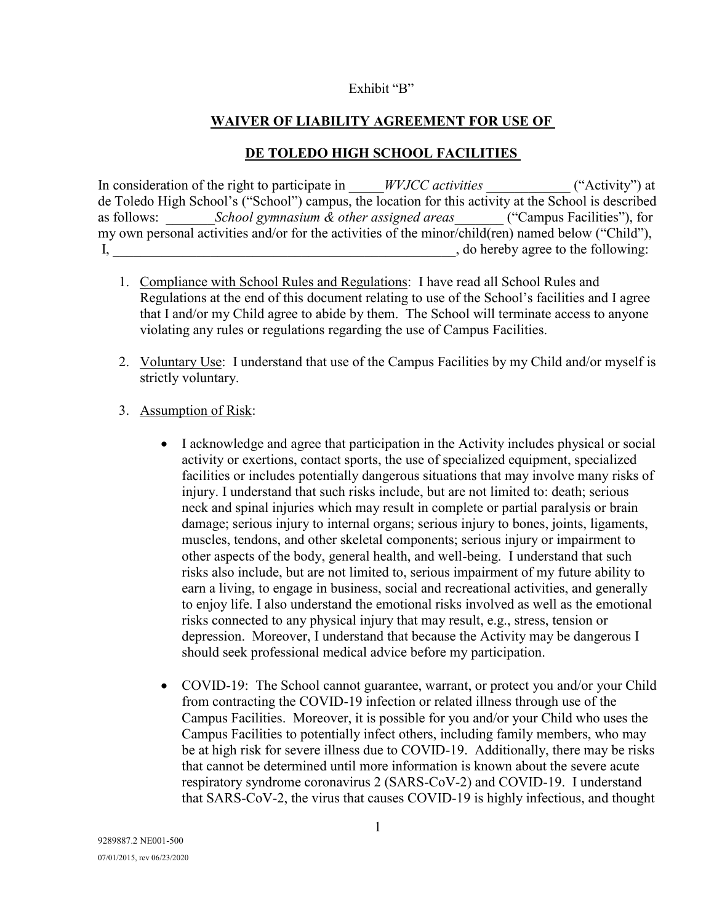### Exhibit "B"

# **WAIVER OF LIABILITY AGREEMENT FOR USE OF**

## **DE TOLEDO HIGH SCHOOL FACILITIES**

In consideration of the right to participate in *WVJCC activities* ("Activity") at de Toledo High School's ("School") campus, the location for this activity at the School is described<br>as follows: *School gymnasium & other assigned areas* ("Campus Facilities"), for as follows:  $School \gamma{}$ *gymnasium & other assigned areas* my own personal activities and/or for the activities of the minor/child(ren) named below ("Child"), I, the same of the following:  $\alpha$ , do hereby agree to the following:

- 1. Compliance with School Rules and Regulations: I have read all School Rules and Regulations at the end of this document relating to use of the School's facilities and I agree that I and/or my Child agree to abide by them. The School will terminate access to anyone violating any rules or regulations regarding the use of Campus Facilities.
- 2. Voluntary Use: I understand that use of the Campus Facilities by my Child and/or myself is strictly voluntary.

## 3. Assumption of Risk:

- I acknowledge and agree that participation in the Activity includes physical or social activity or exertions, contact sports, the use of specialized equipment, specialized facilities or includes potentially dangerous situations that may involve many risks of injury. I understand that such risks include, but are not limited to: death; serious neck and spinal injuries which may result in complete or partial paralysis or brain damage; serious injury to internal organs; serious injury to bones, joints, ligaments, muscles, tendons, and other skeletal components; serious injury or impairment to other aspects of the body, general health, and well-being. I understand that such risks also include, but are not limited to, serious impairment of my future ability to earn a living, to engage in business, social and recreational activities, and generally to enjoy life. I also understand the emotional risks involved as well as the emotional risks connected to any physical injury that may result, e.g., stress, tension or depression. Moreover, I understand that because the Activity may be dangerous I should seek professional medical advice before my participation.
- COVID-19: The School cannot guarantee, warrant, or protect you and/or your Child from contracting the COVID-19 infection or related illness through use of the Campus Facilities. Moreover, it is possible for you and/or your Child who uses the Campus Facilities to potentially infect others, including family members, who may be at high risk for severe illness due to COVID-19. Additionally, there may be risks that cannot be determined until more information is known about the severe acute respiratory syndrome coronavirus 2 (SARS-CoV-2) and COVID-19. I understand that SARS-CoV-2, the virus that causes COVID-19 is highly infectious, and thought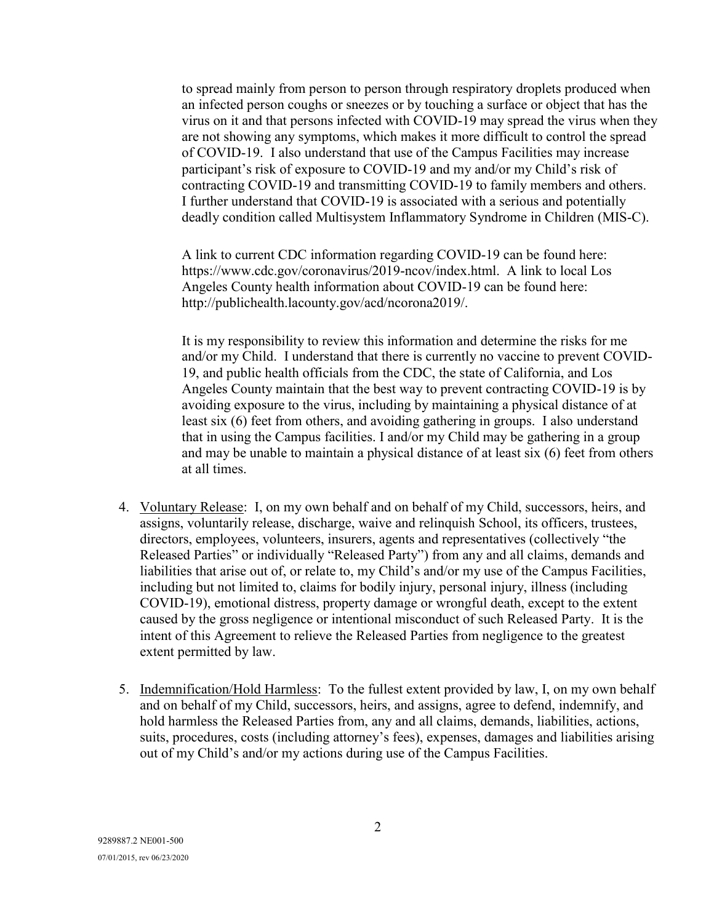to spread mainly from person to person through respiratory droplets produced when an infected person coughs or sneezes or by touching a surface or object that has the virus on it and that persons infected with COVID-19 may spread the virus when they are not showing any symptoms, which makes it more difficult to control the spread of COVID-19. I also understand that use of the Campus Facilities may increase participant's risk of exposure to COVID-19 and my and/or my Child's risk of contracting COVID-19 and transmitting COVID-19 to family members and others. I further understand that COVID-19 is associated with a serious and potentially deadly condition called Multisystem Inflammatory Syndrome in Children (MIS-C).

A link to current CDC information regarding COVID-19 can be found here: https://www.cdc.gov/coronavirus/2019-ncov/index.html. A link to local Los Angeles County health information about COVID-19 can be found here: http://publichealth.lacounty.gov/acd/ncorona2019/.

It is my responsibility to review this information and determine the risks for me and/or my Child. I understand that there is currently no vaccine to prevent COVID-19, and public health officials from the CDC, the state of California, and Los Angeles County maintain that the best way to prevent contracting COVID-19 is by avoiding exposure to the virus, including by maintaining a physical distance of at least six (6) feet from others, and avoiding gathering in groups. I also understand that in using the Campus facilities. I and/or my Child may be gathering in a group and may be unable to maintain a physical distance of at least six (6) feet from others at all times.

- 4. Voluntary Release: I, on my own behalf and on behalf of my Child, successors, heirs, and assigns, voluntarily release, discharge, waive and relinquish School, its officers, trustees, directors, employees, volunteers, insurers, agents and representatives (collectively "the Released Parties" or individually "Released Party") from any and all claims, demands and liabilities that arise out of, or relate to, my Child's and/or my use of the Campus Facilities, including but not limited to, claims for bodily injury, personal injury, illness (including COVID-19), emotional distress, property damage or wrongful death, except to the extent caused by the gross negligence or intentional misconduct of such Released Party. It is the intent of this Agreement to relieve the Released Parties from negligence to the greatest extent permitted by law.
- 5. Indemnification/Hold Harmless:To the fullest extent provided by law, I, on my own behalf and on behalf of my Child, successors, heirs, and assigns, agree to defend, indemnify, and hold harmless the Released Parties from, any and all claims, demands, liabilities, actions, suits, procedures, costs (including attorney's fees), expenses, damages and liabilities arising out of my Child's and/or my actions during use of the Campus Facilities.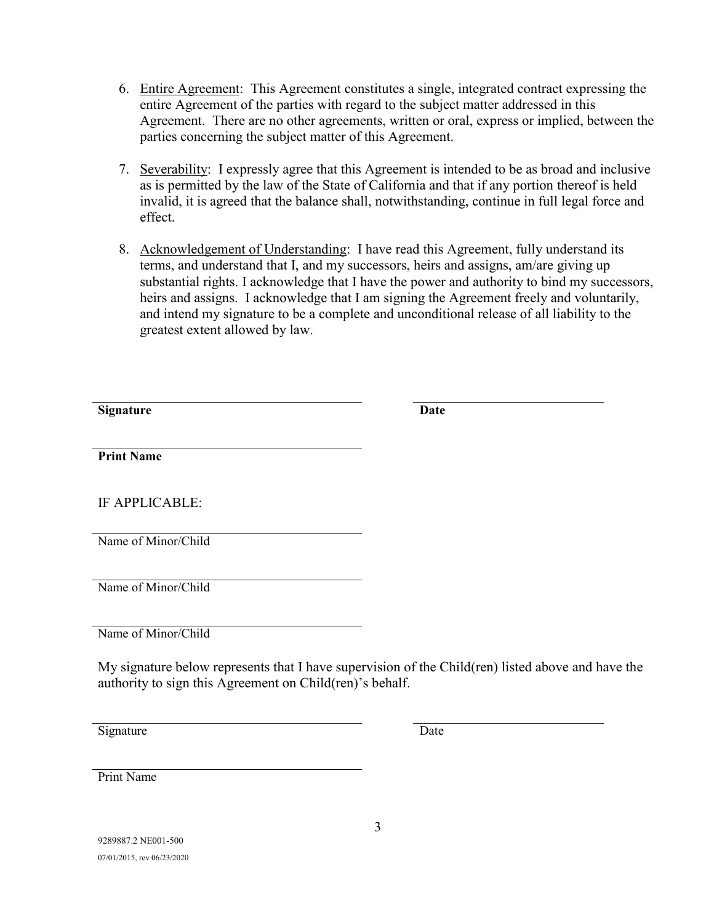- 6. Entire Agreement: This Agreement constitutes a single, integrated contract expressing the entire Agreement of the parties with regard to the subject matter addressed in this Agreement. There are no other agreements, written or oral, express or implied, between the parties concerning the subject matter of this Agreement.
- 7. Severability: I expressly agree that this Agreement is intended to be as broad and inclusive as is permitted by the law of the State of California and that if any portion thereof is held invalid, it is agreed that the balance shall, notwithstanding, continue in full legal force and effect.
- 8. Acknowledgement of Understanding: I have read this Agreement, fully understand its terms, and understand that I, and my successors, heirs and assigns, am/are giving up substantial rights. I acknowledge that I have the power and authority to bind my successors, heirs and assigns. I acknowledge that I am signing the Agreement freely and voluntarily, and intend my signature to be a complete and unconditional release of all liability to the greatest extent allowed by law.

| <b>Signature</b>    | <b>Date</b> |
|---------------------|-------------|
|                     |             |
|                     |             |
| <b>Print Name</b>   |             |
|                     |             |
|                     |             |
|                     |             |
| IF APPLICABLE:      |             |
|                     |             |
|                     |             |
| Name of Minor/Child |             |
|                     |             |
|                     |             |
| Name of Minor/Child |             |
|                     |             |
|                     |             |
| Name of Minor/Child |             |
|                     |             |

My signature below represents that I have supervision of the Child(ren) listed above and have the authority to sign this Agreement on Child(ren)'s behalf.

Signature Date

Print Name